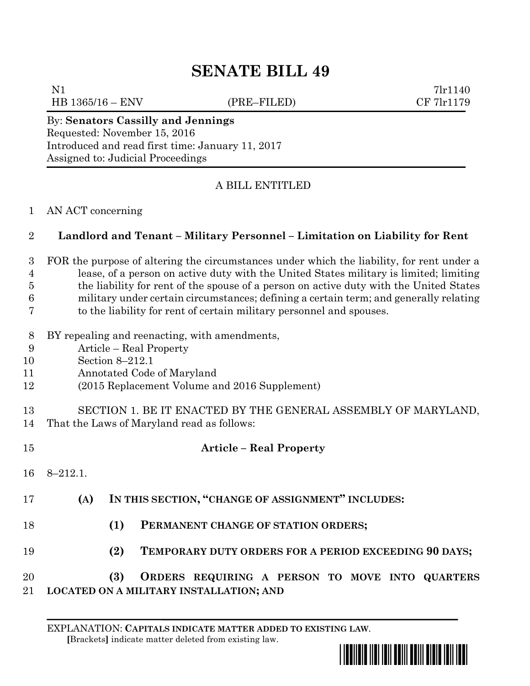# **SENATE BILL 49**

HB 1365/16 – ENV (PRE–FILED) CF 7lr1179

N1 7lr1140

#### By: **Senators Cassilly and Jennings** Requested: November 15, 2016 Introduced and read first time: January 11, 2017 Assigned to: Judicial Proceedings

### A BILL ENTITLED

#### AN ACT concerning

#### **Landlord and Tenant – Military Personnel – Limitation on Liability for Rent**

## FOR the purpose of altering the circumstances under which the liability, for rent under a lease, of a person on active duty with the United States military is limited; limiting

 the liability for rent of the spouse of a person on active duty with the United States military under certain circumstances; defining a certain term; and generally relating

- to the liability for rent of certain military personnel and spouses.
- BY repealing and reenacting, with amendments,
- Article Real Property
- Section 8–212.1
- Annotated Code of Maryland
- (2015 Replacement Volume and 2016 Supplement)

#### SECTION 1. BE IT ENACTED BY THE GENERAL ASSEMBLY OF MARYLAND, That the Laws of Maryland read as follows:

 **Article – Real Property** 8–212.1. **(A) IN THIS SECTION, "CHANGE OF ASSIGNMENT" INCLUDES: (1) PERMANENT CHANGE OF STATION ORDERS; (2) TEMPORARY DUTY ORDERS FOR A PERIOD EXCEEDING 90 DAYS; (3) ORDERS REQUIRING A PERSON TO MOVE INTO QUARTERS LOCATED ON A MILITARY INSTALLATION; AND**